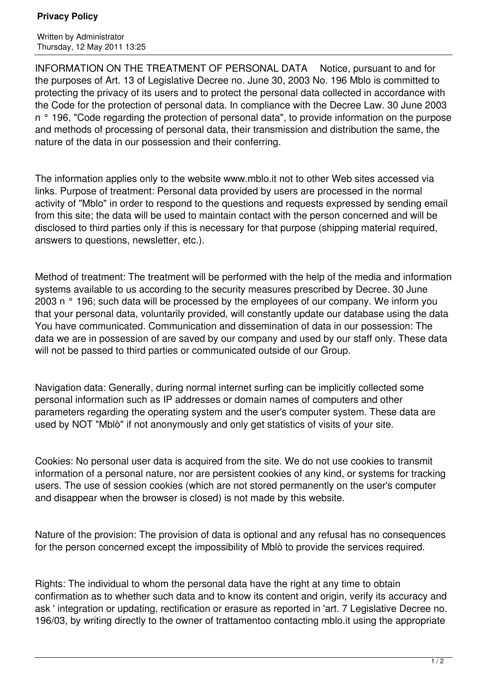## **Privacy Policy**

Written by Administrator Thursday, 12 May 2011 13:25

INFORMATION ON THE TREATMENT OF PERSONAL DATA Notice, pursuant to and for the purposes of Art. 13 of Legislative Decree no. June 30, 2003 No. 196 Mblo is committed to protecting the privacy of its users and to protect the personal data collected in accordance with the Code for the protection of personal data. In compliance with the Decree Law. 30 June 2003 n ° 196, "Code regarding the protection of personal data", to provide information on the purpose and methods of processing of personal data, their transmission and distribution the same, the nature of the data in our possession and their conferring.

The information applies only to the website www.mblo.it not to other Web sites accessed via links. Purpose of treatment: Personal data provided by users are processed in the normal activity of "Mblo" in order to respond to the questions and requests expressed by sending email from this site; the data will be used to maintain contact with the person concerned and will be disclosed to third parties only if this is necessary for that purpose (shipping material required, answers to questions, newsletter, etc.).

Method of treatment: The treatment will be performed with the help of the media and information systems available to us according to the security measures prescribed by Decree. 30 June 2003 n ° 196; such data will be processed by the employees of our company. We inform you that your personal data, voluntarily provided, will constantly update our database using the data You have communicated. Communication and dissemination of data in our possession: The data we are in possession of are saved by our company and used by our staff only. These data will not be passed to third parties or communicated outside of our Group.

Navigation data: Generally, during normal internet surfing can be implicitly collected some personal information such as IP addresses or domain names of computers and other parameters regarding the operating system and the user's computer system. These data are used by NOT "Mblò" if not anonymously and only get statistics of visits of your site.

Cookies: No personal user data is acquired from the site. We do not use cookies to transmit information of a personal nature, nor are persistent cookies of any kind, or systems for tracking users. The use of session cookies (which are not stored permanently on the user's computer and disappear when the browser is closed) is not made by this website.

Nature of the provision: The provision of data is optional and any refusal has no consequences for the person concerned except the impossibility of Mblò to provide the services required.

Rights: The individual to whom the personal data have the right at any time to obtain confirmation as to whether such data and to know its content and origin, verify its accuracy and ask ' integration or updating, rectification or erasure as reported in 'art. 7 Legislative Decree no. 196/03, by writing directly to the owner of trattamentoo contacting mblo.it using the appropriate